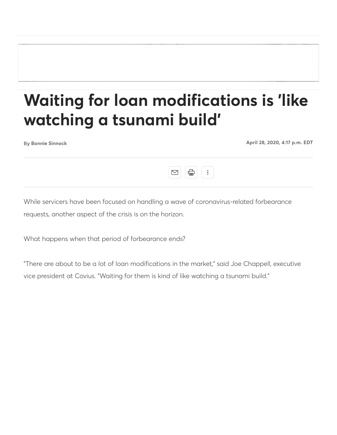# **Waiting for loan modifications is 'like watching a tsunami build'**

**Bonnie Sinnock April 28, 2020, 4:17 p.m. EDT**



While servicers have been focused on handling a wave of coronavirus-related forbearance requests, another aspect of the crisis is on the horizon.

What happens when that period of forbearance ends?

"There are about to be a lot of loan modifications in the market," said Joe Chappell, executive vice president at Covius. "Waiting for them is kind of like watching a tsunami build."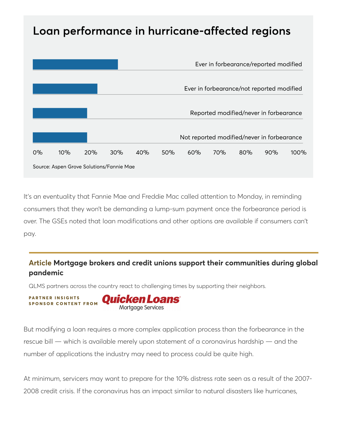# Loan performance in hurricane-affected regions



It's an eventuality that Fannie Mae and Freddie Mac called attention to Monday, in reminding consumers that they won't be demanding a lump-sum payment once the forbearance period is over. The GSEs noted that loan modifications and other options are available if consumers can't pay.

### **Article Mortgage brokers and credit unions support their communities during global pandemic**

QLMS partners across the country react to challenging times by supporting their neighbors.

 $PARTNER INSIGHTS$ **Ouicken Loans S P O N S O R C O N T E N T F R O M**Mortgage Services

But modifying a loan requires a more complex application process than the forbearance in the rescue bill — which is available merely upon statement of a coronavirus hardship — and the number of applications the industry may need to process could be quite high.

At minimum, servicers may want to prepare for the 10% distress rate seen as a result of the 2007- 2008 credit crisis. If the coronavirus has an impact similar to natural disasters like hurricanes,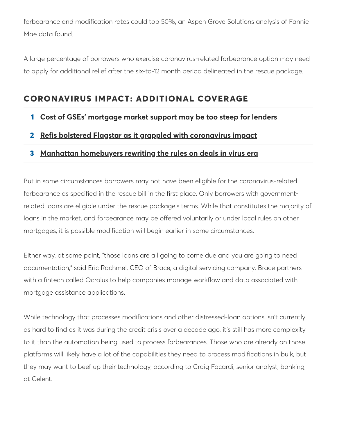forbearance and modification rates could top 50%, an Aspen Grove Solutions analysis of Fannie Mae data found.

A large percentage of borrowers who exercise coronavirus-related forbearance option may need to apply for additional relief after the six-to-12 month period delineated in the rescue package.

# **CORONAVIRUS IMPACT: ADDITIONAL COVERAGE**

### **1 Cost of GSEs' mortgage market support may be too steep for lenders**

### **2 Refis bolstered Flagstar as it grappled with coronavirus impact**

### **3 Manhattan homebuyers rewriting the rules on deals in virus era**

But in some circumstances borrowers may not have been eligible for the coronavirus-related forbearance as specified in the rescue bill in the first place. Only borrowers with governmentrelated loans are eligible under the rescue package's terms. While that constitutes the majority of loans in the market, and forbearance may be offered voluntarily or under local rules on other mortgages, it is possible modification will begin earlier in some circumstances.

Either way, at some point, "those loans are all going to come due and you are going to need documentation," said Eric Rachmel, CEO of Brace, a digital servicing company. Brace partners with a fintech called Ocrolus to help companies manage workflow and data associated with mortgage assistance applications.

While technology that processes modifications and other distressed-loan options isn't currently as hard to find as it was during the credit crisis over a decade ago, it's still has more complexity to it than the automation being used to process forbearances. Those who are already on those platforms will likely have a lot of the capabilities they need to process modifications in bulk, but they may want to beef up their technology, according to Craig Focardi, senior analyst, banking, at Celent.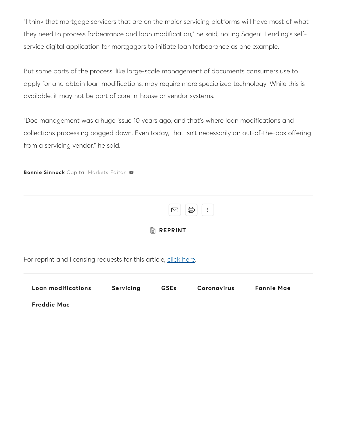"I think that mortgage servicers that are on the major servicing platforms will have most of what they need to process forbearance and loan modification," he said, noting Sagent Lending's selfservice digital application for mortgagors to initiate loan forbearance as one example.

But some parts of the process, like large-scale management of documents consumers use to apply for and obtain loan modifications, may require more specialized technology. While this is available, it may not be part of core in-house or vendor systems.

"Doc management was a huge issue 10 years ago, and that's where loan modifications and collections processing bogged down. Even today, that isn't necessarily an out-of-the-box offering from a servicing vendor," he said.

#### **Bonnie Sinnock** Capital Markets Editor

|                                                                  | $\bigoplus$<br>÷<br>M |             |                    |                   |
|------------------------------------------------------------------|-----------------------|-------------|--------------------|-------------------|
| <b>REPRINT</b><br>$\mathbb{R}$                                   |                       |             |                    |                   |
| For reprint and licensing requests for this article, click here. |                       |             |                    |                   |
| Loan modifications                                               | Servicing             | <b>GSEs</b> | <b>Coronavirus</b> | <b>Fannie Mae</b> |
| <b>Freddie Mac</b>                                               |                       |             |                    |                   |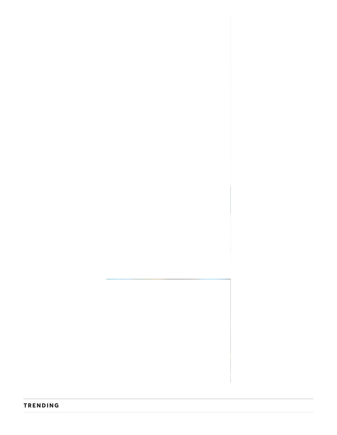#### **TRENDING**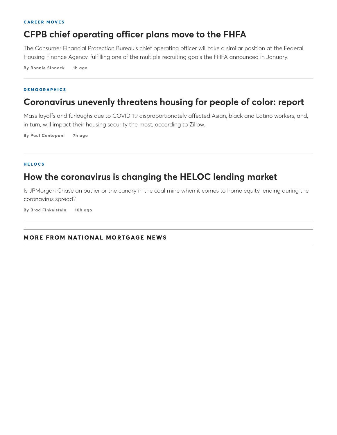#### **C A R E E R M O V E S**

# **CFPB chief operating officer plans move to the FHFA**

The Consumer Financial Protection Bureau's chief operating officer will take a similar position at the Federal Housing Finance Agency, fulfilling one of the multiple recruiting goals the FHFA announced in January.

**By Bonnie Sinnock 1h ago**

#### **D E M O G R A P H I C S**

## **Coronavirus unevenly threatens housing for people of color: report**

Mass layoffs and furloughs due to COVID-19 disproportionately affected Asian, black and Latino workers, and, in turn, will impact their housing security the most, according to Zillow.

**By Paul Centopani 7h ago**

#### **H E L O C S**

### **How the coronavirus is changing the HELOC lending market**

Is JPMorgan Chase an outlier or the canary in the coal mine when it comes to home equity lending during the coronavirus spread?

**By Brad Finkelstein 10h ago**

#### **MO RE FROM NATI O NAL MO RTGAGE NEWS**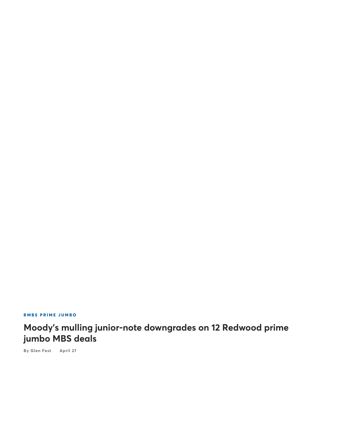**R M B S P R I M E J U M B O**

# **Moody's mulling junior-note downgrades on 12 Redwood prime jumbo MBS deals**

**By Glen Fest April 27**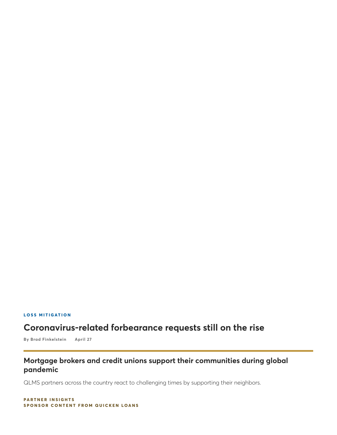#### **L O S S M I T I G AT I O N**

# **Coronavirus-related forbearance requests still on the rise**

**By Brad Finkelstein April 27**

### **Mortgage brokers and credit unions support their communities during global pandemic**

QLMS partners across the country react to challenging times by supporting their neighbors.

 $P$ **ARTNER INSIGHTS SPONSOR CONTENT FROM QUICKEN LOANS**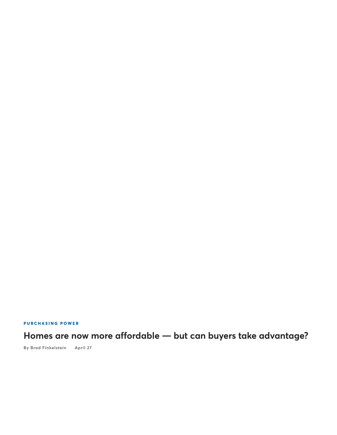$P$  **URCHASING POWER** 

**Homes are now more affordable — but can buyers take advantage?**

**By Brad Finkelstein April 27**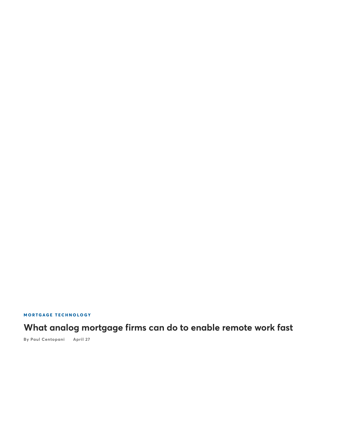**MORTGAGE TECHNOLOGY** 

# **What analog mortgage firms can do to enable remote work fast**

**By Paul Centopani April 27**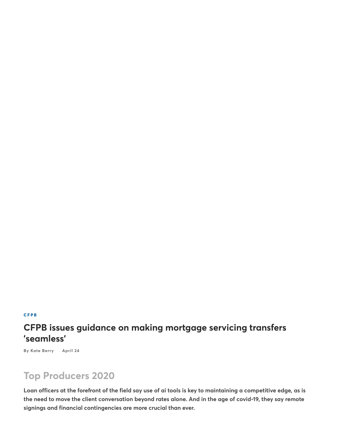#### **C F P B**

# **CFPB issues guidance on making mortgage servicing transfers 'seamless'**

**By Kate Berry April 24**

# **Top Producers 2020**

**Loan officers at the forefront of the field say use of ai tools is key to maintaining a competitive edge, as is the need to move the client conversation beyond rates alone. And in the age of covid-19, they say remote signings and financial contingencies are more crucial than ever.**